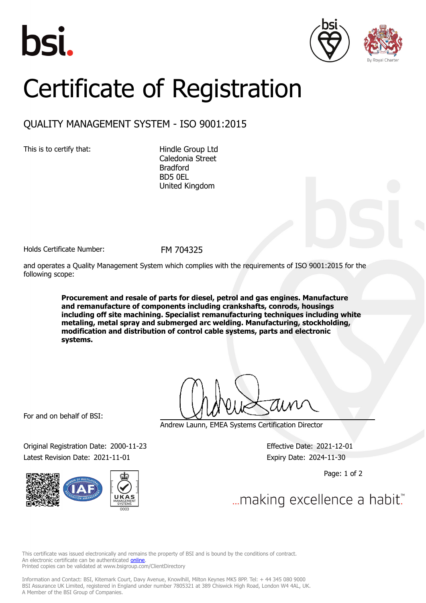





## Certificate of Registration

## QUALITY MANAGEMENT SYSTEM - ISO 9001:2015

This is to certify that: Hindle Group Ltd

Caledonia Street Bradford BD5 0EL United Kingdom

Holds Certificate Number: FM 704325

and operates a Quality Management System which complies with the requirements of ISO 9001:2015 for the following scope:

> **Procurement and resale of parts for diesel, petrol and gas engines. Manufacture and remanufacture of components including crankshafts, conrods, housings including off site machining. Specialist remanufacturing techniques including white metaling, metal spray and submerged arc welding. Manufacturing, stockholding, modification and distribution of control cable systems, parts and electronic systems.**

For and on behalf of BSI:

Original Registration Date: 2000-11-23 Effective Date: 2021-12-01 Latest Revision Date: 2021-11-01 Expiry Date: 2024-11-30



Andrew Launn, EMEA Systems Certification Director

Page: 1 of 2

... making excellence a habit.

This certificate was issued electronically and remains the property of BSI and is bound by the conditions of contract. An electronic certificate can be authenticated **[online](https://pgplus.bsigroup.com/CertificateValidation/CertificateValidator.aspx?CertificateNumber=FM+704325&ReIssueDate=01%2f11%2f2021&Template=uk)**. Printed copies can be validated at www.bsigroup.com/ClientDirectory

Information and Contact: BSI, Kitemark Court, Davy Avenue, Knowlhill, Milton Keynes MK5 8PP. Tel: + 44 345 080 9000 BSI Assurance UK Limited, registered in England under number 7805321 at 389 Chiswick High Road, London W4 4AL, UK. A Member of the BSI Group of Companies.